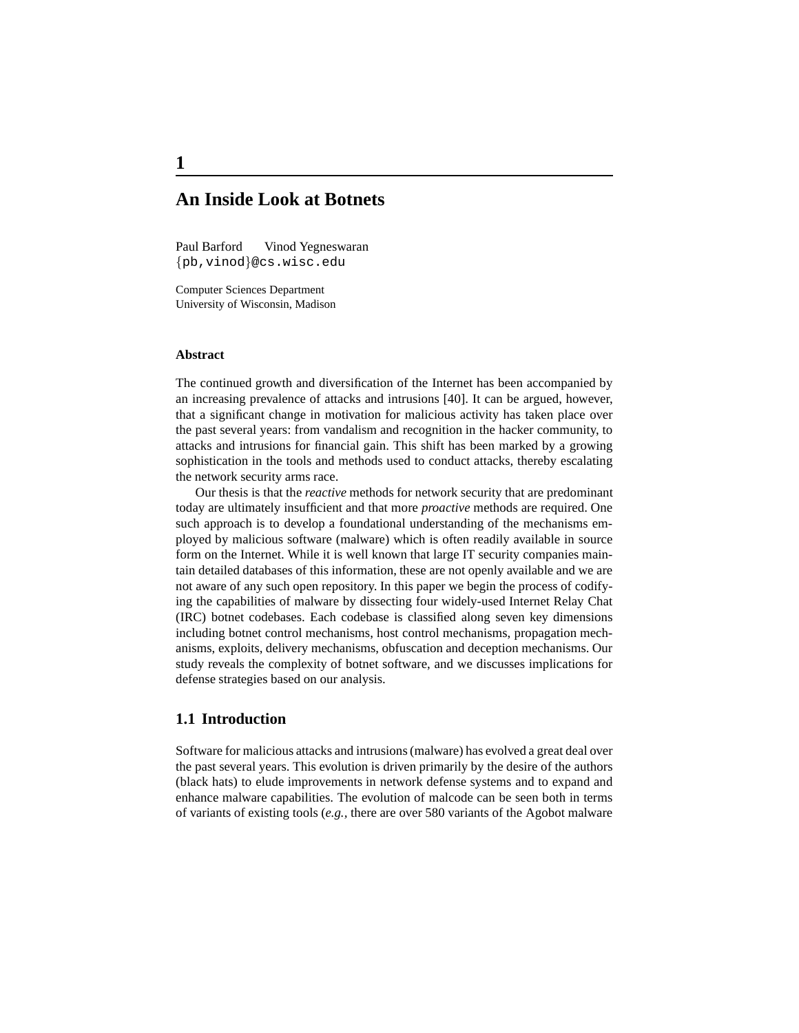# **An Inside Look at Botnets**

Paul Barford Vinod Yegneswaran {pb,vinod}@cs.wisc.edu

Computer Sciences Department University of Wisconsin, Madison

#### **Abstract**

The continued growth and diversification of the Internet has been accompanied by an increasing prevalence of attacks and intrusions [40]. It can be argued, however, that a significant change in motivation for malicious activity has taken place over the past several years: from vandalism and recognition in the hacker community, to attacks and intrusions for financial gain. This shift has been marked by a growing sophistication in the tools and methods used to conduct attacks, thereby escalating the network security arms race.

Our thesis is that the *reactive* methods for network security that are predominant today are ultimately insufficient and that more *proactive* methods are required. One such approach is to develop a foundational understanding of the mechanisms employed by malicious software (malware) which is often readily available in source form on the Internet. While it is well known that large IT security companies maintain detailed databases of this information, these are not openly available and we are not aware of any such open repository. In this paper we begin the process of codifying the capabilities of malware by dissecting four widely-used Internet Relay Chat (IRC) botnet codebases. Each codebase is classified along seven key dimensions including botnet control mechanisms, host control mechanisms, propagation mechanisms, exploits, delivery mechanisms, obfuscation and deception mechanisms. Our study reveals the complexity of botnet software, and we discusses implications for defense strategies based on our analysis.

### **1.1 Introduction**

Software for malicious attacks and intrusions (malware) has evolved a great deal over the past several years. This evolution is driven primarily by the desire of the authors (black hats) to elude improvements in network defense systems and to expand and enhance malware capabilities. The evolution of malcode can be seen both in terms of variants of existing tools (*e.g.,* there are over 580 variants of the Agobot malware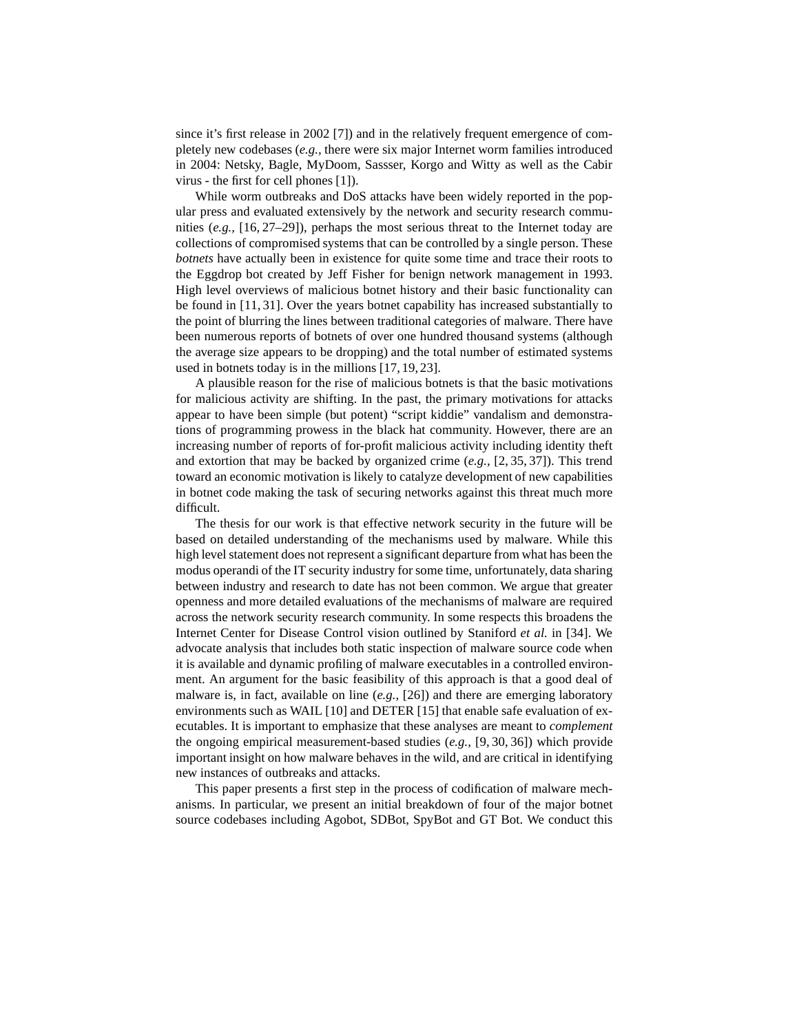since it's first release in 2002 [7]) and in the relatively frequent emergence of completely new codebases (*e.g.,* there were six major Internet worm families introduced in 2004: Netsky, Bagle, MyDoom, Sassser, Korgo and Witty as well as the Cabir virus - the first for cell phones [1]).

While worm outbreaks and DoS attacks have been widely reported in the popular press and evaluated extensively by the network and security research communities (*e.g.,* [16, 27–29]), perhaps the most serious threat to the Internet today are collections of compromised systems that can be controlled by a single person. These *botnets* have actually been in existence for quite some time and trace their roots to the Eggdrop bot created by Jeff Fisher for benign network management in 1993. High level overviews of malicious botnet history and their basic functionality can be found in [11, 31]. Over the years botnet capability has increased substantially to the point of blurring the lines between traditional categories of malware. There have been numerous reports of botnets of over one hundred thousand systems (although the average size appears to be dropping) and the total number of estimated systems used in botnets today is in the millions [17, 19, 23].

A plausible reason for the rise of malicious botnets is that the basic motivations for malicious activity are shifting. In the past, the primary motivations for attacks appear to have been simple (but potent) "script kiddie" vandalism and demonstrations of programming prowess in the black hat community. However, there are an increasing number of reports of for-profit malicious activity including identity theft and extortion that may be backed by organized crime (*e.g.,* [2, 35, 37]). This trend toward an economic motivation is likely to catalyze development of new capabilities in botnet code making the task of securing networks against this threat much more difficult.

The thesis for our work is that effective network security in the future will be based on detailed understanding of the mechanisms used by malware. While this high level statement does not represent a significant departure from what has been the modus operandi of the IT security industry for some time, unfortunately, data sharing between industry and research to date has not been common. We argue that greater openness and more detailed evaluations of the mechanisms of malware are required across the network security research community. In some respects this broadens the Internet Center for Disease Control vision outlined by Staniford *et al.* in [34]. We advocate analysis that includes both static inspection of malware source code when it is available and dynamic profiling of malware executables in a controlled environment. An argument for the basic feasibility of this approach is that a good deal of malware is, in fact, available on line (*e.g.,* [26]) and there are emerging laboratory environments such as WAIL [10] and DETER [15] that enable safe evaluation of executables. It is important to emphasize that these analyses are meant to *complement* the ongoing empirical measurement-based studies (*e.g.,* [9, 30, 36]) which provide important insight on how malware behaves in the wild, and are critical in identifying new instances of outbreaks and attacks.

This paper presents a first step in the process of codification of malware mechanisms. In particular, we present an initial breakdown of four of the major botnet source codebases including Agobot, SDBot, SpyBot and GT Bot. We conduct this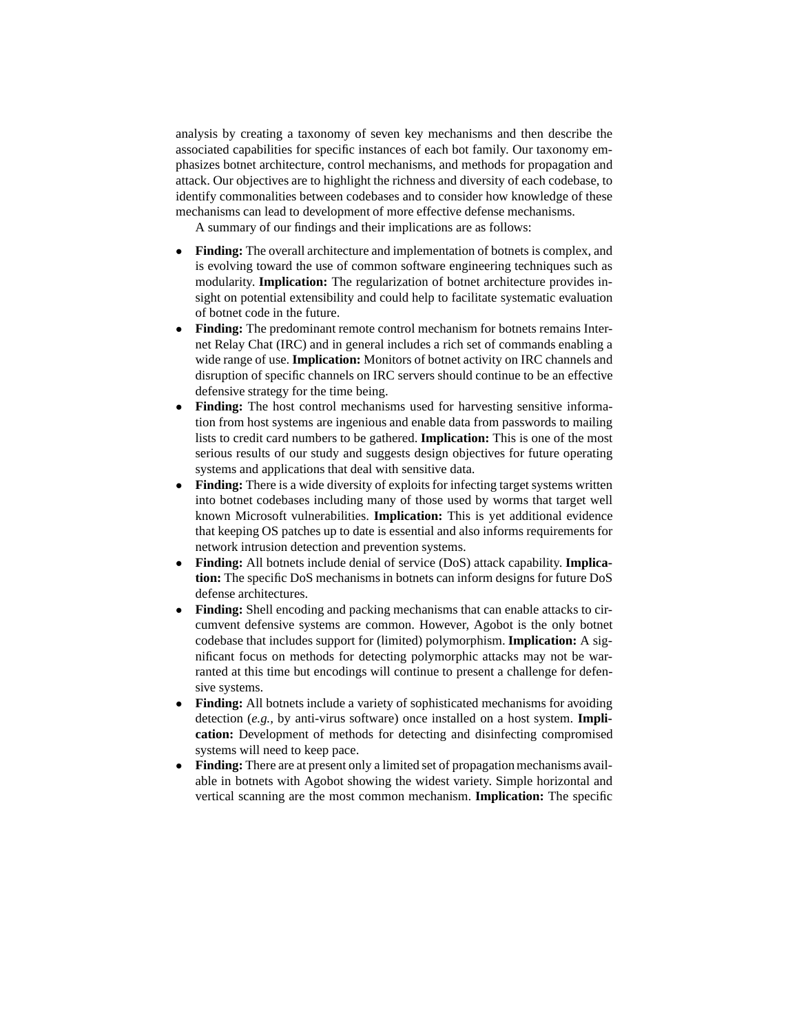analysis by creating a taxonomy of seven key mechanisms and then describe the associated capabilities for specific instances of each bot family. Our taxonomy emphasizes botnet architecture, control mechanisms, and methods for propagation and attack. Our objectives are to highlight the richness and diversity of each codebase, to identify commonalities between codebases and to consider how knowledge of these mechanisms can lead to development of more effective defense mechanisms.

A summary of our findings and their implications are as follows:

- **Finding:** The overall architecture and implementation of botnets is complex, and is evolving toward the use of common software engineering techniques such as modularity. **Implication:** The regularization of botnet architecture provides insight on potential extensibility and could help to facilitate systematic evaluation of botnet code in the future.
- **Finding:** The predominant remote control mechanism for botnets remains Internet Relay Chat (IRC) and in general includes a rich set of commands enabling a wide range of use. **Implication:** Monitors of botnet activity on IRC channels and disruption of specific channels on IRC servers should continue to be an effective defensive strategy for the time being.
- **Finding:** The host control mechanisms used for harvesting sensitive information from host systems are ingenious and enable data from passwords to mailing lists to credit card numbers to be gathered. **Implication:** This is one of the most serious results of our study and suggests design objectives for future operating systems and applications that deal with sensitive data.
- **Finding:** There is a wide diversity of exploits for infecting target systems written into botnet codebases including many of those used by worms that target well known Microsoft vulnerabilities. **Implication:** This is yet additional evidence that keeping OS patches up to date is essential and also informs requirements for network intrusion detection and prevention systems.
- **Finding:** All botnets include denial of service (DoS) attack capability. **Implication:** The specific DoS mechanisms in botnets can inform designs for future DoS defense architectures.
- **Finding:** Shell encoding and packing mechanisms that can enable attacks to circumvent defensive systems are common. However, Agobot is the only botnet codebase that includes support for (limited) polymorphism. **Implication:** A significant focus on methods for detecting polymorphic attacks may not be warranted at this time but encodings will continue to present a challenge for defensive systems.
- **Finding:** All botnets include a variety of sophisticated mechanisms for avoiding detection (*e.g.,* by anti-virus software) once installed on a host system. **Implication:** Development of methods for detecting and disinfecting compromised systems will need to keep pace.
- **Finding:** There are at present only a limited set of propagation mechanisms available in botnets with Agobot showing the widest variety. Simple horizontal and vertical scanning are the most common mechanism. **Implication:** The specific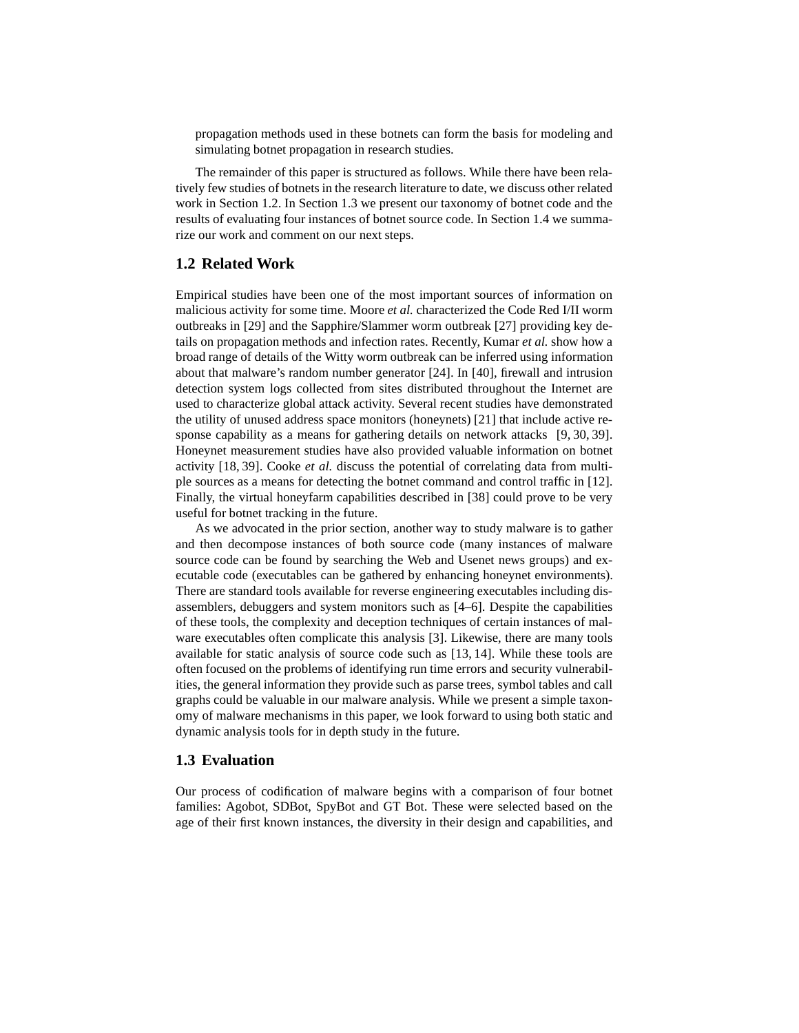propagation methods used in these botnets can form the basis for modeling and simulating botnet propagation in research studies.

The remainder of this paper is structured as follows. While there have been relatively few studies of botnets in the research literature to date, we discuss other related work in Section 1.2. In Section 1.3 we present our taxonomy of botnet code and the results of evaluating four instances of botnet source code. In Section 1.4 we summarize our work and comment on our next steps.

### **1.2 Related Work**

Empirical studies have been one of the most important sources of information on malicious activity for some time. Moore *et al.* characterized the Code Red I/II worm outbreaks in [29] and the Sapphire/Slammer worm outbreak [27] providing key details on propagation methods and infection rates. Recently, Kumar *et al.* show how a broad range of details of the Witty worm outbreak can be inferred using information about that malware's random number generator [24]. In [40], firewall and intrusion detection system logs collected from sites distributed throughout the Internet are used to characterize global attack activity. Several recent studies have demonstrated the utility of unused address space monitors (honeynets) [21] that include active response capability as a means for gathering details on network attacks [9, 30, 39]. Honeynet measurement studies have also provided valuable information on botnet activity [18, 39]. Cooke *et al.* discuss the potential of correlating data from multiple sources as a means for detecting the botnet command and control traffic in [12]. Finally, the virtual honeyfarm capabilities described in [38] could prove to be very useful for botnet tracking in the future.

As we advocated in the prior section, another way to study malware is to gather and then decompose instances of both source code (many instances of malware source code can be found by searching the Web and Usenet news groups) and executable code (executables can be gathered by enhancing honeynet environments). There are standard tools available for reverse engineering executables including disassemblers, debuggers and system monitors such as [4–6]. Despite the capabilities of these tools, the complexity and deception techniques of certain instances of malware executables often complicate this analysis [3]. Likewise, there are many tools available for static analysis of source code such as [13, 14]. While these tools are often focused on the problems of identifying run time errors and security vulnerabilities, the general information they provide such as parse trees, symbol tables and call graphs could be valuable in our malware analysis. While we present a simple taxonomy of malware mechanisms in this paper, we look forward to using both static and dynamic analysis tools for in depth study in the future.

# **1.3 Evaluation**

Our process of codification of malware begins with a comparison of four botnet families: Agobot, SDBot, SpyBot and GT Bot. These were selected based on the age of their first known instances, the diversity in their design and capabilities, and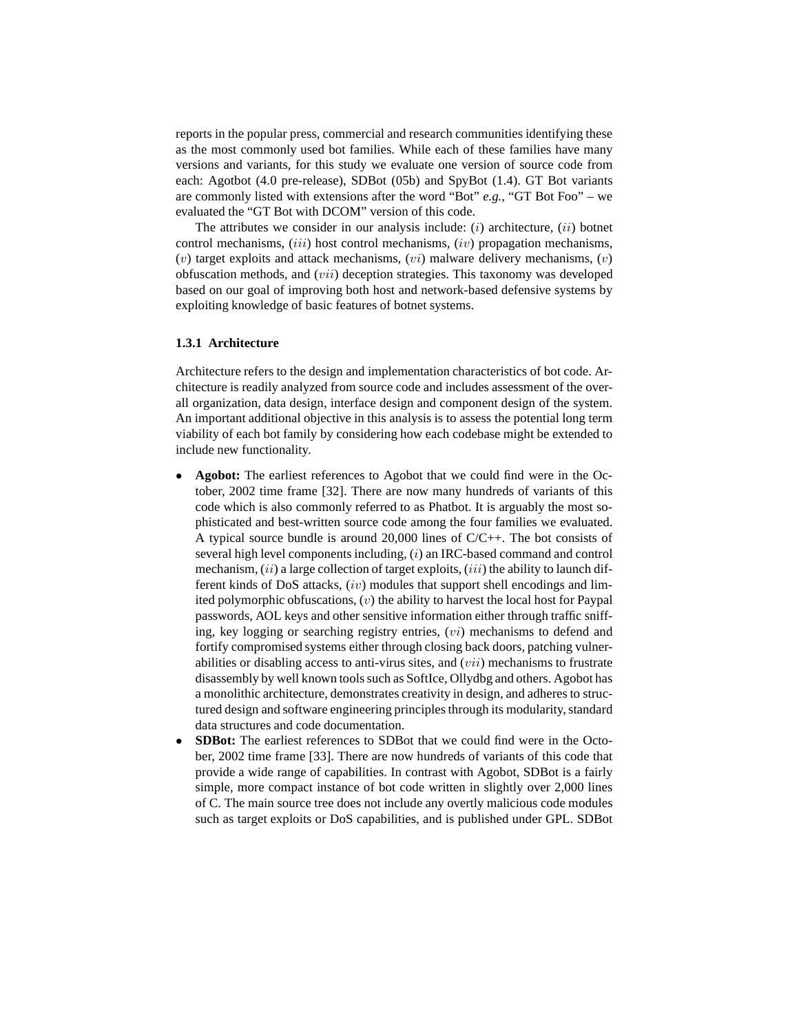reports in the popular press, commercial and research communities identifying these as the most commonly used bot families. While each of these families have many versions and variants, for this study we evaluate one version of source code from each: Agotbot (4.0 pre-release), SDBot (05b) and SpyBot (1.4). GT Bot variants are commonly listed with extensions after the word "Bot" *e.g.,* "GT Bot Foo" – we evaluated the "GT Bot with DCOM" version of this code.

The attributes we consider in our analysis include:  $(i)$  architecture,  $(ii)$  botnet control mechanisms,  $(iii)$  host control mechanisms,  $(iv)$  propagation mechanisms,  $(v)$  target exploits and attack mechanisms,  $(vi)$  malware delivery mechanisms,  $(v)$ obfuscation methods, and (vii) deception strategies. This taxonomy was developed based on our goal of improving both host and network-based defensive systems by exploiting knowledge of basic features of botnet systems.

#### **1.3.1 Architecture**

Architecture refers to the design and implementation characteristics of bot code. Architecture is readily analyzed from source code and includes assessment of the overall organization, data design, interface design and component design of the system. An important additional objective in this analysis is to assess the potential long term viability of each bot family by considering how each codebase might be extended to include new functionality.

- **Agobot:** The earliest references to Agobot that we could find were in the October, 2002 time frame [32]. There are now many hundreds of variants of this code which is also commonly referred to as Phatbot. It is arguably the most sophisticated and best-written source code among the four families we evaluated. A typical source bundle is around 20,000 lines of C/C++. The bot consists of several high level components including, (i) an IRC-based command and control mechanism,  $(ii)$  a large collection of target exploits,  $(iii)$  the ability to launch different kinds of DoS attacks, (iv) modules that support shell encodings and limited polymorphic obfuscations,  $(v)$  the ability to harvest the local host for Paypal passwords, AOL keys and other sensitive information either through traffic sniffing, key logging or searching registry entries, (vi) mechanisms to defend and fortify compromised systems either through closing back doors, patching vulnerabilities or disabling access to anti-virus sites, and  $(vii)$  mechanisms to frustrate disassembly by well known tools such as SoftIce, Ollydbg and others. Agobot has a monolithic architecture, demonstrates creativity in design, and adheres to structured design and software engineering principles through its modularity, standard data structures and code documentation.
- **SDBot:** The earliest references to SDBot that we could find were in the October, 2002 time frame [33]. There are now hundreds of variants of this code that provide a wide range of capabilities. In contrast with Agobot, SDBot is a fairly simple, more compact instance of bot code written in slightly over 2,000 lines of C. The main source tree does not include any overtly malicious code modules such as target exploits or DoS capabilities, and is published under GPL. SDBot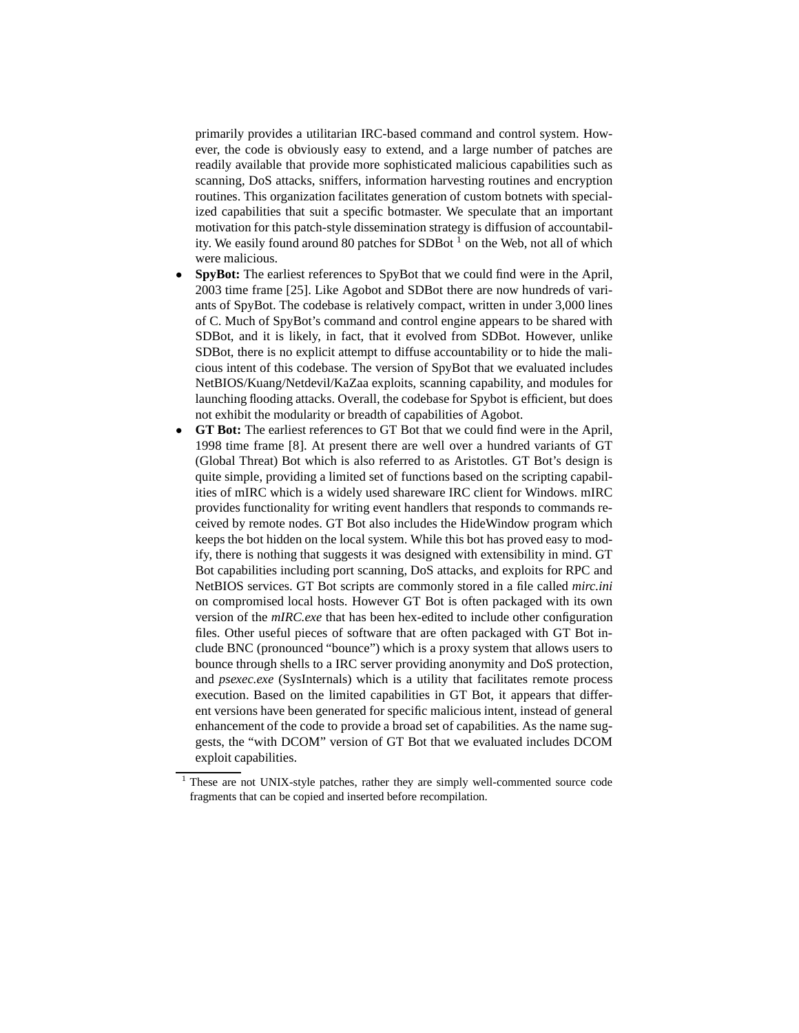primarily provides a utilitarian IRC-based command and control system. However, the code is obviously easy to extend, and a large number of patches are readily available that provide more sophisticated malicious capabilities such as scanning, DoS attacks, sniffers, information harvesting routines and encryption routines. This organization facilitates generation of custom botnets with specialized capabilities that suit a specific botmaster. We speculate that an important motivation for this patch-style dissemination strategy is diffusion of accountability. We easily found around 80 patches for SDBot  $<sup>1</sup>$  on the Web, not all of which</sup> were malicious.

- **SpyBot:** The earliest references to SpyBot that we could find were in the April, 2003 time frame [25]. Like Agobot and SDBot there are now hundreds of variants of SpyBot. The codebase is relatively compact, written in under 3,000 lines of C. Much of SpyBot's command and control engine appears to be shared with SDBot, and it is likely, in fact, that it evolved from SDBot. However, unlike SDBot, there is no explicit attempt to diffuse accountability or to hide the malicious intent of this codebase. The version of SpyBot that we evaluated includes NetBIOS/Kuang/Netdevil/KaZaa exploits, scanning capability, and modules for launching flooding attacks. Overall, the codebase for Spybot is efficient, but does not exhibit the modularity or breadth of capabilities of Agobot.
- **GT Bot:** The earliest references to GT Bot that we could find were in the April, 1998 time frame [8]. At present there are well over a hundred variants of GT (Global Threat) Bot which is also referred to as Aristotles. GT Bot's design is quite simple, providing a limited set of functions based on the scripting capabilities of mIRC which is a widely used shareware IRC client for Windows. mIRC provides functionality for writing event handlers that responds to commands received by remote nodes. GT Bot also includes the HideWindow program which keeps the bot hidden on the local system. While this bot has proved easy to modify, there is nothing that suggests it was designed with extensibility in mind. GT Bot capabilities including port scanning, DoS attacks, and exploits for RPC and NetBIOS services. GT Bot scripts are commonly stored in a file called *mirc.ini* on compromised local hosts. However GT Bot is often packaged with its own version of the *mIRC.exe* that has been hex-edited to include other configuration files. Other useful pieces of software that are often packaged with GT Bot include BNC (pronounced "bounce") which is a proxy system that allows users to bounce through shells to a IRC server providing anonymity and DoS protection, and *psexec.exe* (SysInternals) which is a utility that facilitates remote process execution. Based on the limited capabilities in GT Bot, it appears that different versions have been generated for specific malicious intent, instead of general enhancement of the code to provide a broad set of capabilities. As the name suggests, the "with DCOM" version of GT Bot that we evaluated includes DCOM exploit capabilities.

These are not UNIX-style patches, rather they are simply well-commented source code fragments that can be copied and inserted before recompilation.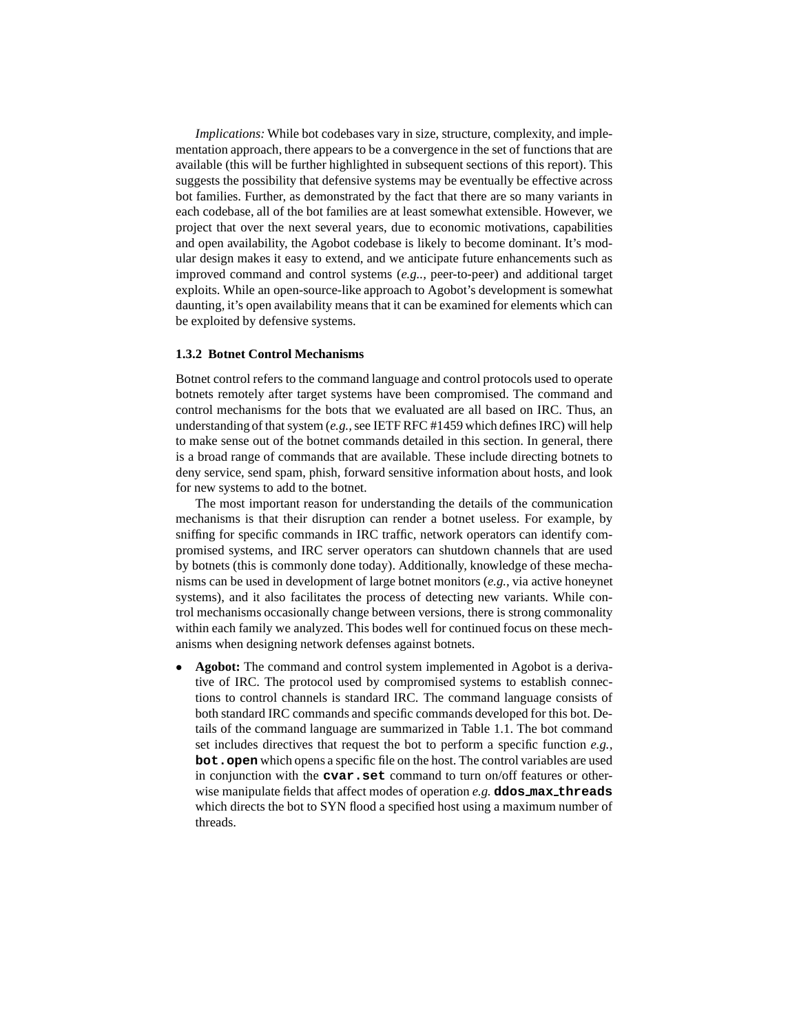*Implications:* While bot codebases vary in size, structure, complexity, and implementation approach, there appears to be a convergence in the set of functions that are available (this will be further highlighted in subsequent sections of this report). This suggests the possibility that defensive systems may be eventually be effective across bot families. Further, as demonstrated by the fact that there are so many variants in each codebase, all of the bot families are at least somewhat extensible. However, we project that over the next several years, due to economic motivations, capabilities and open availability, the Agobot codebase is likely to become dominant. It's modular design makes it easy to extend, and we anticipate future enhancements such as improved command and control systems (*e.g..,* peer-to-peer) and additional target exploits. While an open-source-like approach to Agobot's development is somewhat daunting, it's open availability means that it can be examined for elements which can be exploited by defensive systems.

#### **1.3.2 Botnet Control Mechanisms**

Botnet control refers to the command language and control protocols used to operate botnets remotely after target systems have been compromised. The command and control mechanisms for the bots that we evaluated are all based on IRC. Thus, an understanding of that system (*e.g.,*see IETF RFC #1459 which defines IRC) will help to make sense out of the botnet commands detailed in this section. In general, there is a broad range of commands that are available. These include directing botnets to deny service, send spam, phish, forward sensitive information about hosts, and look for new systems to add to the botnet.

The most important reason for understanding the details of the communication mechanisms is that their disruption can render a botnet useless. For example, by sniffing for specific commands in IRC traffic, network operators can identify compromised systems, and IRC server operators can shutdown channels that are used by botnets (this is commonly done today). Additionally, knowledge of these mechanisms can be used in development of large botnet monitors (*e.g.,* via active honeynet systems), and it also facilitates the process of detecting new variants. While control mechanisms occasionally change between versions, there is strong commonality within each family we analyzed. This bodes well for continued focus on these mechanisms when designing network defenses against botnets.

• **Agobot:** The command and control system implemented in Agobot is a derivative of IRC. The protocol used by compromised systems to establish connections to control channels is standard IRC. The command language consists of both standard IRC commands and specific commands developed for this bot. Details of the command language are summarized in Table 1.1. The bot command set includes directives that request the bot to perform a specific function *e.g.,* **bot.open** which opens a specific file on the host. The control variables are used in conjunction with the **cvar.set** command to turn on/off features or otherwise manipulate fields that affect modes of operation *e.g.* **ddos max threads** which directs the bot to SYN flood a specified host using a maximum number of threads.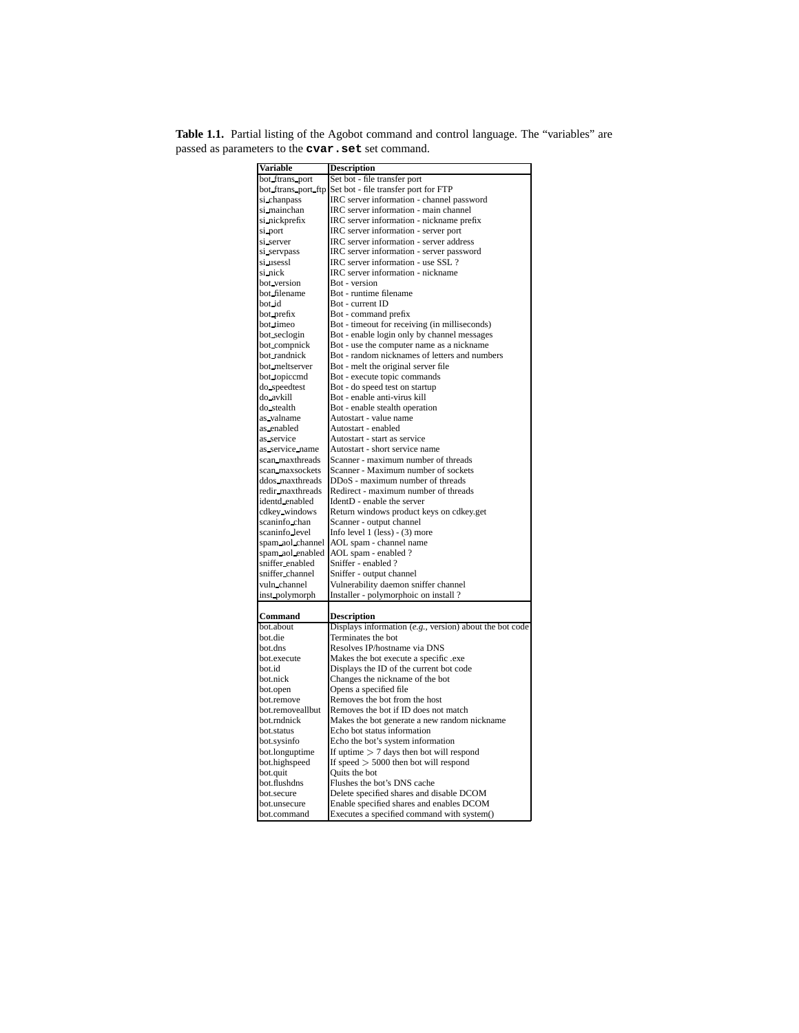Table 1.1. Partial listing of the Agobot command and control language. The "variables" are passed as parameters to the **cvar.set** set command.

| <b>Variable</b>                    | <b>Description</b>                                                    |
|------------------------------------|-----------------------------------------------------------------------|
| bot ftrans port                    | Set bot - file transfer port                                          |
| bot ftrans port ftp                | Set bot - file transfer port for FTP                                  |
| si chanpass                        | IRC server information - channel password                             |
| si mainchan                        | IRC server information - main channel                                 |
| si nickprefix                      | IRC server information - nickname prefix                              |
| si_port                            | IRC server information - server port                                  |
| si_server                          | IRC server information - server address                               |
| si servpass                        | IRC server information - server password                              |
| si usessl                          | IRC server information - use SSL?                                     |
| si nick                            | IRC server information - nickname                                     |
| bot version                        | Bot - version                                                         |
| bot filename                       | Bot - runtime filename                                                |
| bot id                             | Bot - current ID                                                      |
| bot prefix                         | Bot - command prefix                                                  |
| bot_timeo                          | Bot - timeout for receiving (in milliseconds)                         |
| bot seclogin                       | Bot - enable login only by channel messages                           |
| bot compnick                       | Bot - use the computer name as a nickname                             |
| bot_randnick                       | Bot - random nicknames of letters and numbers                         |
| bot_meltserver                     | Bot - melt the original server file                                   |
| bot topiccmd                       | Bot - execute topic commands                                          |
| do_speedtest                       | Bot - do speed test on startup                                        |
| do avkill                          | Bot - enable anti-virus kill                                          |
| do_stealth                         | Bot - enable stealth operation                                        |
| as valname                         | Autostart - value name                                                |
| as enabled                         | Autostart - enabled                                                   |
| as service                         | Autostart - start as service                                          |
| as service name<br>scan maxthreads | Autostart - short service name<br>Scanner - maximum number of threads |
| scan maxsockets                    | Scanner - Maximum number of sockets                                   |
| ddos_maxthreads                    | DDoS - maximum number of threads                                      |
| redir_maxthreads                   | Redirect - maximum number of threads                                  |
| identd_enabled                     | IdentD - enable the server                                            |
| cdkey_windows                      | Return windows product keys on cdkey.get                              |
| scaninfo chan                      | Scanner - output channel                                              |
| scaninfo level                     | Info level $1$ (less) - (3) more                                      |
| spam aol channel                   | AOL spam - channel name                                               |
| spam aol enabled                   | AOL spam - enabled ?                                                  |
| sniffer enabled                    | Sniffer - enabled ?                                                   |
| sniffer channel                    | Sniffer - output channel                                              |
| vuln_channel                       | Vulnerability daemon sniffer channel                                  |
| inst_polymorph                     | Installer - polymorphoic on install ?                                 |
|                                    |                                                                       |
| Command                            | Description                                                           |
| bot.about                          | Displays information $(e.g., version)$ about the bot code             |
| bot.die                            | Terminates the bot                                                    |
| bot.dns                            | Resolves IP/hostname via DNS                                          |
| bot.execute                        | Makes the bot execute a specific .exe                                 |
| bot.id                             | Displays the ID of the current bot code                               |
| bot.nick                           | Changes the nickname of the bot                                       |
| bot.open                           | Opens a specified file                                                |
| bot.remove                         | Removes the bot from the host                                         |
| bot.removeallbut                   | Removes the bot if ID does not match                                  |
| bot.rndnick                        | Makes the bot generate a new random nickname                          |
| bot.status<br>bot.sysinfo          | Echo bot status information<br>Echo the bot's system information      |
| bot.longuptime                     | If uptime $> 7$ days then bot will respond                            |
| bot.highspeed                      | If speed $> 5000$ then bot will respond                               |
| bot.quit                           | Quits the bot                                                         |
| bot.flushdns                       | Flushes the bot's DNS cache                                           |
| bot.secure                         | Delete specified shares and disable DCOM                              |
| bot.unsecure                       | Enable specified shares and enables DCOM                              |
| bot.command                        | Executes a specified command with system()                            |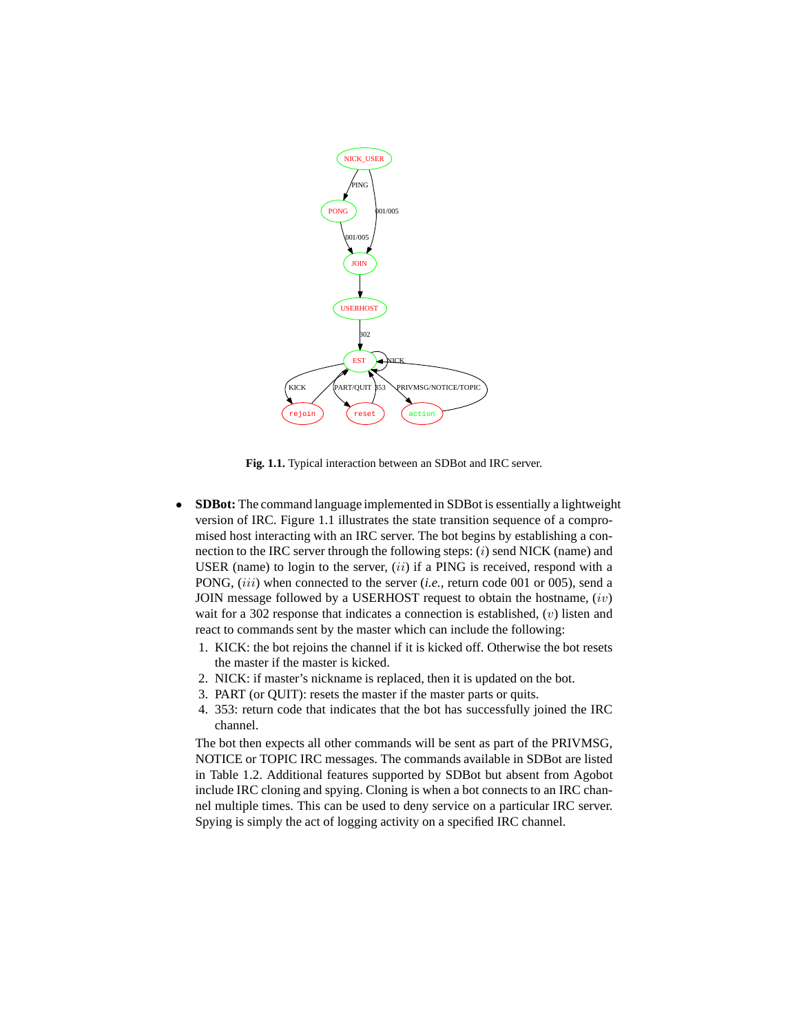

**Fig. 1.1.** Typical interaction between an SDBot and IRC server.

- **SDBot:** The command language implemented in SDBot is essentially a lightweight version of IRC. Figure 1.1 illustrates the state transition sequence of a compromised host interacting with an IRC server. The bot begins by establishing a connection to the IRC server through the following steps:  $(i)$  send NICK (name) and USER (name) to login to the server,  $(ii)$  if a PING is received, respond with a PONG, *(iii)* when connected to the server *(i.e.,* return code 001 or 005), send a JOIN message followed by a USERHOST request to obtain the hostname,  $(iv)$ wait for a 302 response that indicates a connection is established, (v) listen and react to commands sent by the master which can include the following:
	- 1. KICK: the bot rejoins the channel if it is kicked off. Otherwise the bot resets the master if the master is kicked.
	- 2. NICK: if master's nickname is replaced, then it is updated on the bot.
	- 3. PART (or QUIT): resets the master if the master parts or quits.
	- 4. 353: return code that indicates that the bot has successfully joined the IRC channel.

The bot then expects all other commands will be sent as part of the PRIVMSG, NOTICE or TOPIC IRC messages. The commands available in SDBot are listed in Table 1.2. Additional features supported by SDBot but absent from Agobot include IRC cloning and spying. Cloning is when a bot connects to an IRC channel multiple times. This can be used to deny service on a particular IRC server. Spying is simply the act of logging activity on a specified IRC channel.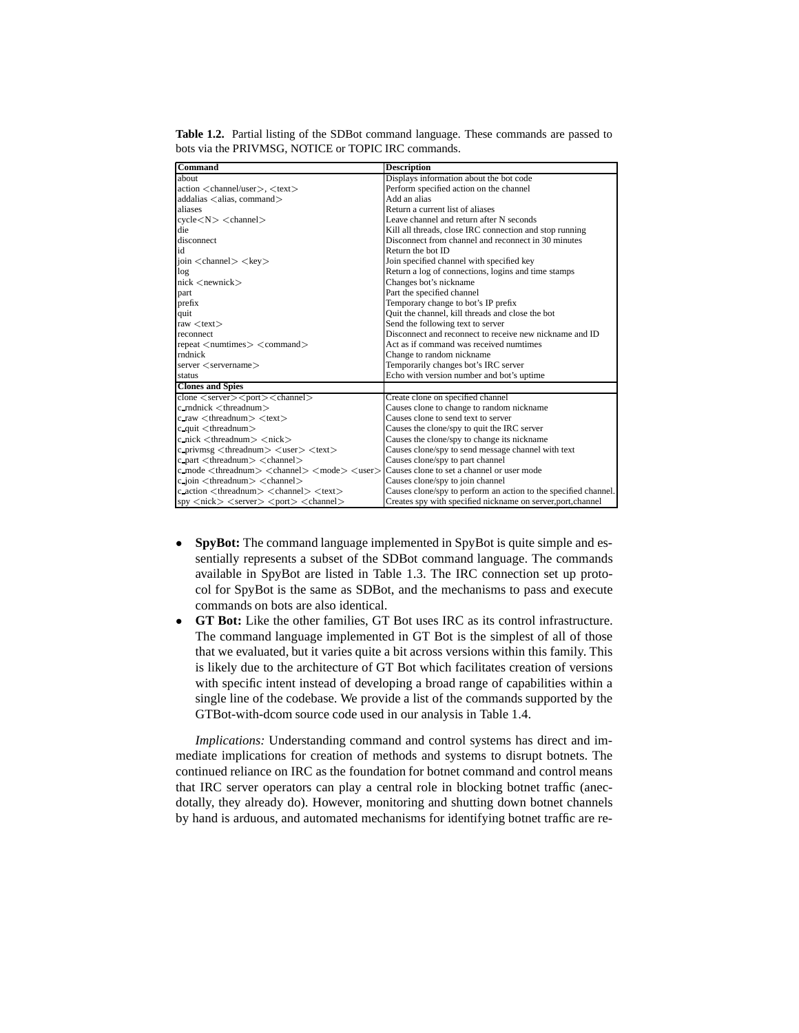| Command                                                                                        | <b>Description</b>                                              |
|------------------------------------------------------------------------------------------------|-----------------------------------------------------------------|
| about                                                                                          | Displays information about the bot code                         |
| action <channel user="">, <text></text></channel>                                              | Perform specified action on the channel                         |
| addalias < alias, command >                                                                    | Add an alias                                                    |
| aliases                                                                                        | Return a current list of aliases                                |
| cycle < N > < channel >                                                                        | Leave channel and return after N seconds                        |
| die                                                                                            | Kill all threads, close IRC connection and stop running         |
| disconnect                                                                                     | Disconnect from channel and reconnect in 30 minutes             |
| id                                                                                             | Return the bot ID                                               |
| $\left  \text{join} \right  < \text{clamp}$                                                    | Join specified channel with specified key                       |
| log                                                                                            | Return a log of connections, logins and time stamps             |
| $nick$ < newnick >                                                                             | Changes bot's nickname                                          |
| part                                                                                           | Part the specified channel                                      |
| prefix                                                                                         | Temporary change to bot's IP prefix                             |
| quit                                                                                           | Quit the channel, kill threads and close the bot                |
| $raw < \text{text}$                                                                            | Send the following text to server                               |
| reconnect                                                                                      | Disconnect and reconnect to receive new nickname and ID         |
| repeat <numtimes> <command/></numtimes>                                                        | Act as if command was received numtimes                         |
| mdnick                                                                                         | Change to random nickname                                       |
| $server <$ servername $>$                                                                      | Temporarily changes bot's IRC server                            |
| status                                                                                         | Echo with version number and bot's uptime                       |
| <b>Clones and Spies</b>                                                                        |                                                                 |
| clone <server><port><channel></channel></port></server>                                        | Create clone on specified channel                               |
| $c$ -rndnick $<$ threadnum $>$                                                                 | Causes clone to change to random nickname                       |
| $c$ _raw <threadnum> <text></text></threadnum>                                                 | Causes clone to send text to server                             |
| c quit $\langle$ threadnum $\rangle$                                                           | Causes the clone/spy to quit the IRC server                     |
| c_nick $\langle$ threadnum $>$ $\langle$ nick $>$                                              | Causes the clone/spy to change its nickname                     |
| c privmsg $\langle$ threadnum $\rangle$ $\langle$ user $\rangle$ $\langle$ text $\rangle$      | Causes clone/spy to send message channel with text              |
| c_part <threadnum> <channel></channel></threadnum>                                             | Causes clone/spy to part channel                                |
| c_mode <threadnum> <channel> <mode> <user></user></mode></channel></threadnum>                 | Causes clone to set a channel or user mode                      |
| c_join <threadnum> <channel></channel></threadnum>                                             | Causes clone/spy to join channel                                |
| $c$ -action $\langle$ threadnum $\rangle$ $\langle$ channel $\rangle$ $\langle$ text $\rangle$ | Causes clone/spy to perform an action to the specified channel. |
| $spy \leq$ nick $>$ $\leq$ server $>$ $\leq$ port $>$ $\leq$ channel $>$                       | Creates spy with specified nickname on server, port, channel    |

**Table 1.2.** Partial listing of the SDBot command language. These commands are passed to bots via the PRIVMSG, NOTICE or TOPIC IRC commands.

- **SpyBot:** The command language implemented in SpyBot is quite simple and essentially represents a subset of the SDBot command language. The commands available in SpyBot are listed in Table 1.3. The IRC connection set up protocol for SpyBot is the same as SDBot, and the mechanisms to pass and execute commands on bots are also identical.
- **GT Bot:** Like the other families, GT Bot uses IRC as its control infrastructure. The command language implemented in GT Bot is the simplest of all of those that we evaluated, but it varies quite a bit across versions within this family. This is likely due to the architecture of GT Bot which facilitates creation of versions with specific intent instead of developing a broad range of capabilities within a single line of the codebase. We provide a list of the commands supported by the GTBot-with-dcom source code used in our analysis in Table 1.4.

*Implications:* Understanding command and control systems has direct and immediate implications for creation of methods and systems to disrupt botnets. The continued reliance on IRC as the foundation for botnet command and control means that IRC server operators can play a central role in blocking botnet traffic (anecdotally, they already do). However, monitoring and shutting down botnet channels by hand is arduous, and automated mechanisms for identifying botnet traffic are re-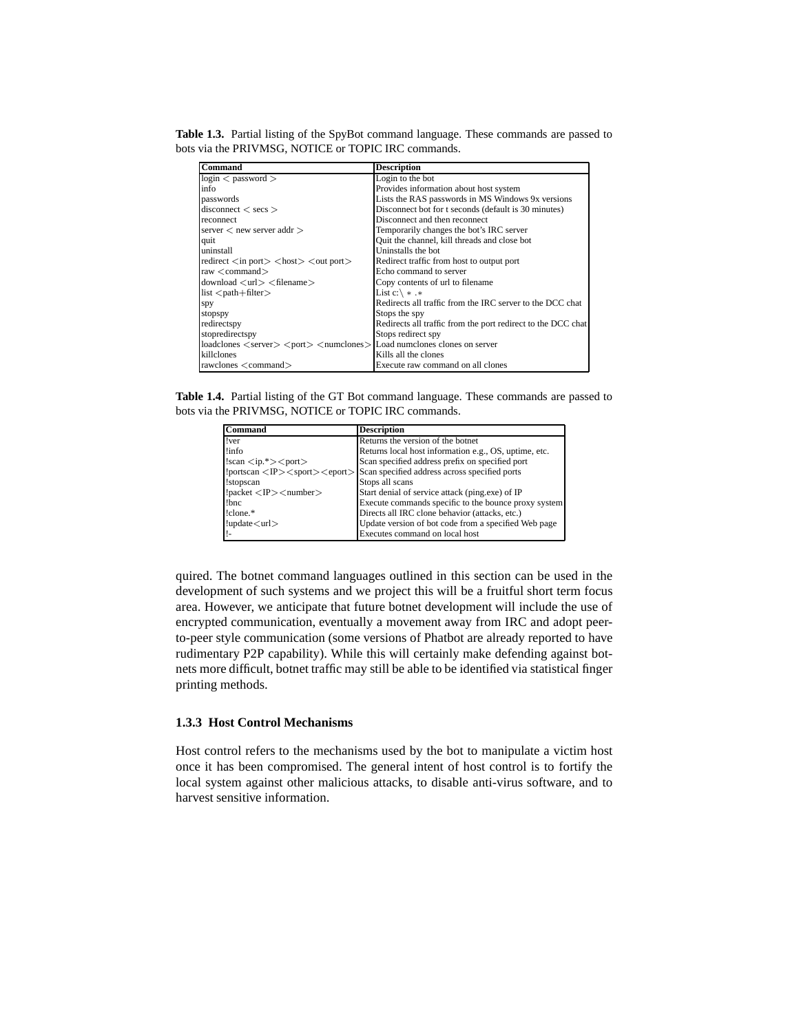**Table 1.3.** Partial listing of the SpyBot command language. These commands are passed to bots via the PRIVMSG, NOTICE or TOPIC IRC commands.

| <b>Command</b>                                                                                     | <b>Description</b>                                           |
|----------------------------------------------------------------------------------------------------|--------------------------------------------------------------|
| $login <$ password $>$                                                                             | Login to the bot                                             |
| info                                                                                               | Provides information about host system                       |
| passwords                                                                                          | Lists the RAS passwords in MS Windows 9x versions            |
| $disconnect <$ secs $>$                                                                            | Disconnect bot for t seconds (default is 30 minutes)         |
| reconnect                                                                                          | Disconnect and then reconnect                                |
| server $\lt$ new server addr $>$                                                                   | Temporarily changes the bot's IRC server                     |
| quit                                                                                               | Quit the channel, kill threads and close bot                 |
| uninstall                                                                                          | Uninstalls the bot                                           |
| redirect $\langle$ in port $\rangle$ $\langle$ host $\rangle$ $\langle$ out port $\rangle$         | Redirect traffic from host to output port                    |
| raw $<$ command $>$                                                                                | Echo command to server                                       |
| $download < trl < filename$                                                                        | Copy contents of url to filename                             |
| $list <$ path+filter $>$                                                                           | List c: $\setminus *$ .                                      |
| spy                                                                                                | Redirects all traffic from the IRC server to the DCC chat    |
| stopspy                                                                                            | Stops the spy                                                |
| redirectspy                                                                                        | Redirects all traffic from the port redirect to the DCC chat |
| stopredirectspy                                                                                    | Stops redirect spy                                           |
| loadclones <server> <port> <numclones> Load numclones clones on server</numclones></port></server> |                                                              |
| killclones                                                                                         | Kills all the clones                                         |
| rawclones $\leq$ command $>$                                                                       | Execute raw command on all clones                            |

**Table 1.4.** Partial listing of the GT Bot command language. These commands are passed to bots via the PRIVMSG, NOTICE or TOPIC IRC commands.

| <b>Command</b>                                             | <b>Description</b>                                    |
|------------------------------------------------------------|-------------------------------------------------------|
| !ver                                                       | Returns the version of the botnet                     |
| !info                                                      | Returns local host information e.g., OS, uptime, etc. |
| $!scan  port>$                                             | Scan specified address prefix on specified port       |
| !portscan $\langle IP \rangle$ < sport > $\langle$ eport > | Scan specified address across specified ports         |
| !stopscan                                                  | Stops all scans                                       |
| $!packet < IP>$ $\leq$ number $>$                          | Start denial of service attack (ping.exe) of IP       |
| !bnc                                                       | Execute commands specific to the bounce proxy system  |
| $!$ clone. $*$                                             | Directs all IRC clone behavior (attacks, etc.)        |
| $ $ update $\langle$ url $\rangle$                         | Update version of bot code from a specified Web page  |
|                                                            | Executes command on local host                        |

quired. The botnet command languages outlined in this section can be used in the development of such systems and we project this will be a fruitful short term focus area. However, we anticipate that future botnet development will include the use of encrypted communication, eventually a movement away from IRC and adopt peerto-peer style communication (some versions of Phatbot are already reported to have rudimentary P2P capability). While this will certainly make defending against botnets more difficult, botnet traffic may still be able to be identified via statistical finger printing methods.

#### **1.3.3 Host Control Mechanisms**

Host control refers to the mechanisms used by the bot to manipulate a victim host once it has been compromised. The general intent of host control is to fortify the local system against other malicious attacks, to disable anti-virus software, and to harvest sensitive information.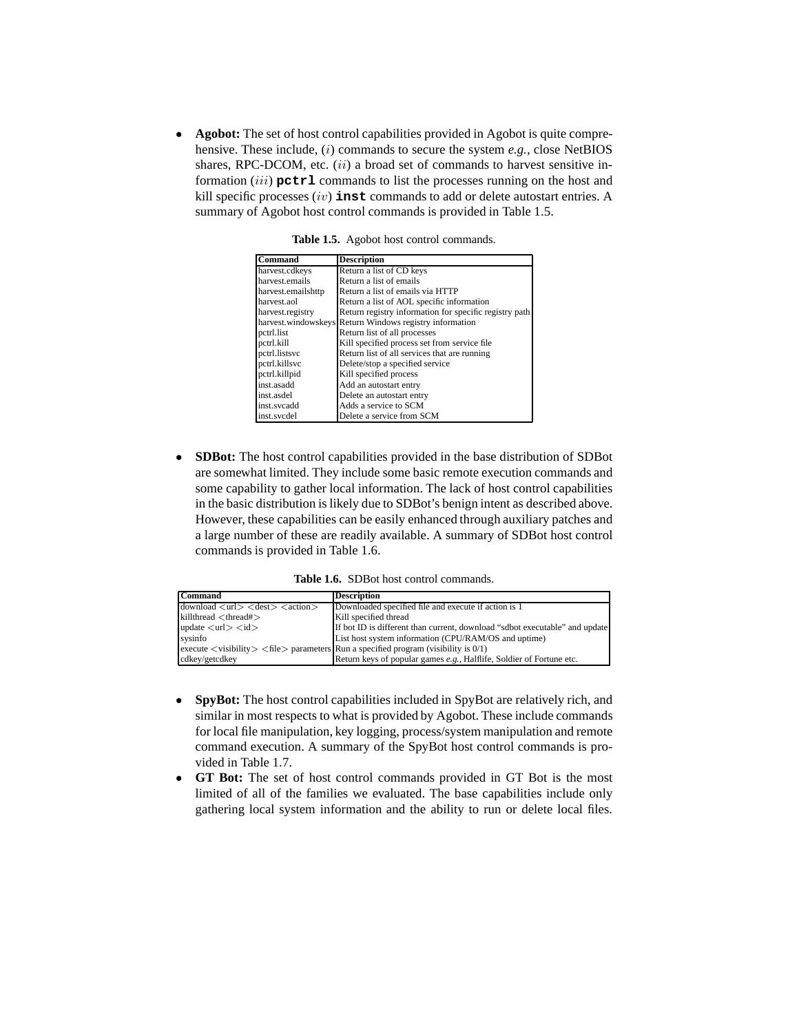• **Agobot:** The set of host control capabilities provided in Agobot is quite comprehensive. These include, (i) commands to secure the system *e.g.,* close NetBIOS shares, RPC-DCOM, etc.  $(ii)$  a broad set of commands to harvest sensitive information (iii) **pctrl** commands to list the processes running on the host and kill specific processes (iv) **inst** commands to add or delete autostart entries. A summary of Agobot host control commands is provided in Table 1.5.

**Command Description** harvest.cdkeys Return a list of CD keys harvest.emails Return a list of emails<br>harvest.emailshttp Return a list of emails Return a list of emails via HTTP harvest.aol Return a list of AOL specific information harvest.registry Return registry information for specific registry path<br>harvest.windowskeys Return Windows registry information Return Windows registry information pctrl.list Return list of all processes<br>pctrl.kill Kill specified process set fi Kill specified process set from service file pctrl.listsvc<br>
Return list of all services that are running<br>
pctrl.killsvc<br>
Delete/stop a specified service pctrl.killsvc<br>
pctrl.killpid<br>
Kill specified process<br>
Kill specified process pctrl.killpid Kill specified process<br>
Add an autostart entry inst.asadd Add an autostart entry<br>
inst.asdel Delete an autostart ent inst.asdel Delete an autostart entry<br>
inst.svcadd Adds a service to SCM inst.svcadd<br> **Adds** a service to SCM<br> **Delete a service from S** Delete a service from SCM

**Table 1.5.** Agobot host control commands.

• **SDBot:** The host control capabilities provided in the base distribution of SDBot are somewhat limited. They include some basic remote execution commands and some capability to gather local information. The lack of host control capabilities in the basic distribution is likely due to SDBot's benign intent as described above. However, these capabilities can be easily enhanced through auxiliary patches and a large number of these are readily available. A summary of SDBot host control commands is provided in Table 1.6.

**Table 1.6.** SDBot host control commands.

| <b>Command</b>                                              | <b>Description</b>                                                                                               |
|-------------------------------------------------------------|------------------------------------------------------------------------------------------------------------------|
| $download < url > < dest > action >$                        | Downloaded specified file and execute if action is 1                                                             |
| $killthread < <$ thread# $>$                                | Kill specified thread                                                                                            |
| update $\langle \text{url}\rangle \langle \text{id}\rangle$ | If bot ID is different than current, download "sdbot executable" and update                                      |
| sysinfo                                                     | List host system information (CPU/RAM/OS and uptime)                                                             |
|                                                             | $execute \langle visibility \rangle \langle file \rangle$ parameters Run a specified program (visibility is 0/1) |
| cdkey/getcdkey                                              | Return keys of popular games e.g., Halflife, Soldier of Fortune etc.                                             |

- **SpyBot:** The host control capabilities included in SpyBot are relatively rich, and similar in most respects to what is provided by Agobot. These include commands for local file manipulation, key logging, process/system manipulation and remote command execution. A summary of the SpyBot host control commands is provided in Table 1.7.
- **GT Bot:** The set of host control commands provided in GT Bot is the most limited of all of the families we evaluated. The base capabilities include only gathering local system information and the ability to run or delete local files.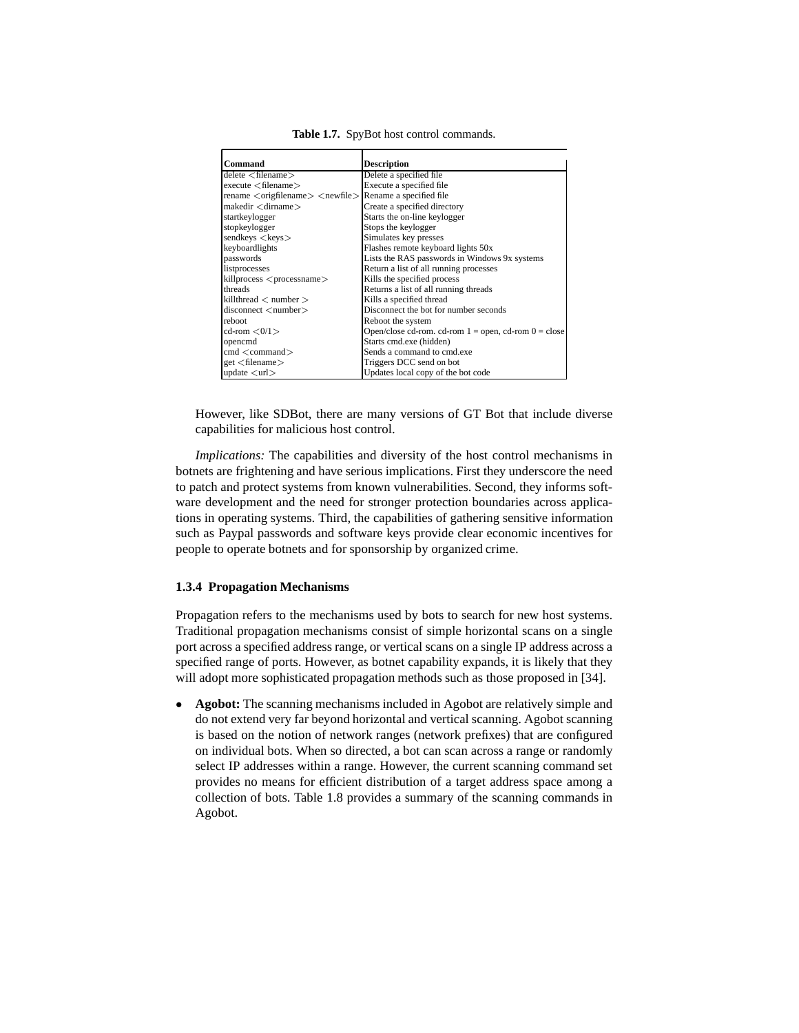| <b>Command</b>                              | <b>Description</b>                                       |
|---------------------------------------------|----------------------------------------------------------|
| delete < filename>                          | Delete a specified file                                  |
| execute < filename>                         | Execute a specified file                                 |
| $rename <$ origfilename $>$ $<$ newfile $>$ | Rename a specified file                                  |
| $makedir <$ dirname $>$                     | Create a specified directory                             |
| startkeylogger                              | Starts the on-line keylogger                             |
| stopkeylogger                               | Stops the keylogger                                      |
| sendkeys <keys></keys>                      | Simulates key presses                                    |
| keyboardlights                              | Flashes remote keyboard lights 50x                       |
| passwords                                   | Lists the RAS passwords in Windows 9x systems            |
| listprocesses                               | Return a list of all running processes                   |
| $killprocess$ $<$ processname $>$           | Kills the specified process                              |
| threads                                     | Returns a list of all running threads                    |
| killthread $\langle$ number $\rangle$       | Kills a specified thread                                 |
| $disconnect <$ number $>$                   | Disconnect the bot for number seconds                    |
| reboot                                      | Reboot the system                                        |
| $cd$ -rom $< 0/1$                           | Open/close cd-rom. cd-rom $1 =$ open, cd-rom $0 =$ close |
| opencmd                                     | Starts cmd.exe (hidden)                                  |
| $cmd <$ command $>$                         | Sends a command to cmd.exe                               |
| $get <$ filename $>$                        | Triggers DCC send on bot                                 |
| update $\langle$ url $\rangle$              | Updates local copy of the bot code                       |

**Table 1.7.** SpyBot host control commands.

However, like SDBot, there are many versions of GT Bot that include diverse capabilities for malicious host control.

*Implications:* The capabilities and diversity of the host control mechanisms in botnets are frightening and have serious implications. First they underscore the need to patch and protect systems from known vulnerabilities. Second, they informs software development and the need for stronger protection boundaries across applications in operating systems. Third, the capabilities of gathering sensitive information such as Paypal passwords and software keys provide clear economic incentives for people to operate botnets and for sponsorship by organized crime.

#### **1.3.4 Propagation Mechanisms**

Propagation refers to the mechanisms used by bots to search for new host systems. Traditional propagation mechanisms consist of simple horizontal scans on a single port across a specified address range, or vertical scans on a single IP address across a specified range of ports. However, as botnet capability expands, it is likely that they will adopt more sophisticated propagation methods such as those proposed in [34].

• **Agobot:** The scanning mechanisms included in Agobot are relatively simple and do not extend very far beyond horizontal and vertical scanning. Agobot scanning is based on the notion of network ranges (network prefixes) that are configured on individual bots. When so directed, a bot can scan across a range or randomly select IP addresses within a range. However, the current scanning command set provides no means for efficient distribution of a target address space among a collection of bots. Table 1.8 provides a summary of the scanning commands in Agobot.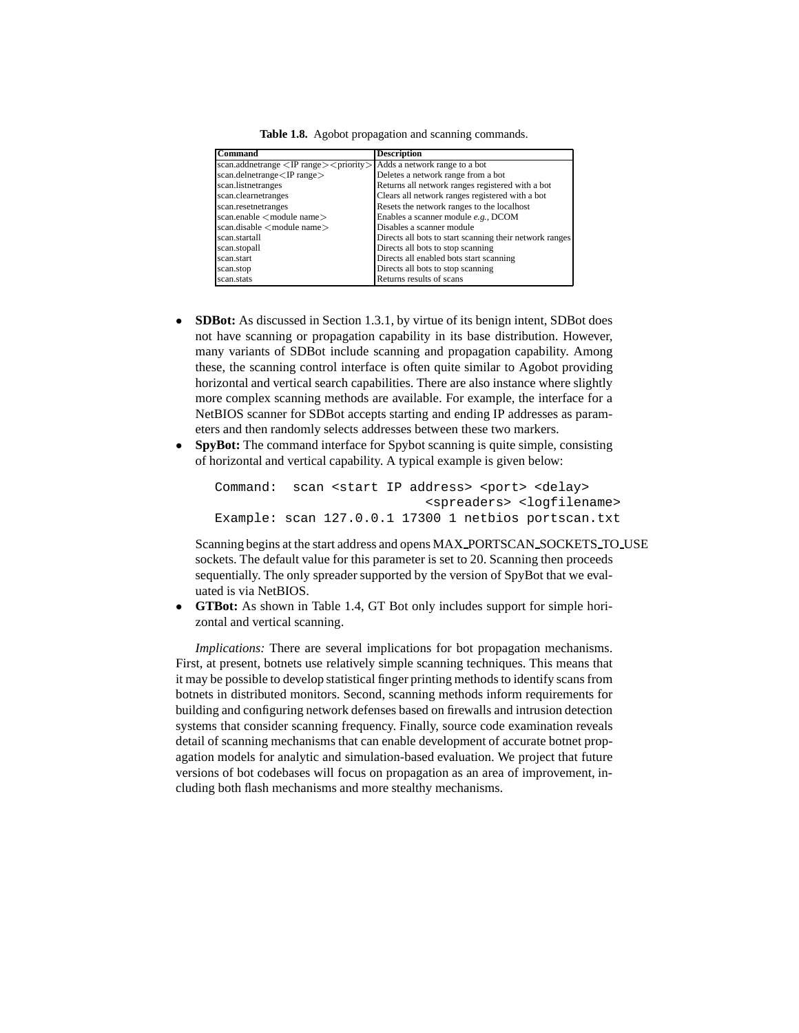| Command                                                                              | <b>Description</b>                                      |
|--------------------------------------------------------------------------------------|---------------------------------------------------------|
| scan.addnetrange $\langle \text{IP range} \rangle$ $\langle \text{priority} \rangle$ | Adds a network range to a bot                           |
| scan.delnetrange $\langle IP$ range $\rangle$                                        | Deletes a network range from a bot                      |
| scan.listnetranges                                                                   | Returns all network ranges registered with a bot        |
| scan.clearnetranges                                                                  | Clears all network ranges registered with a bot         |
| scan.resetnetranges                                                                  | Resets the network ranges to the localhost              |
| scan.enable <module name=""></module>                                                | Enables a scanner module e.g., DCOM                     |
| scan.disable $\langle$ module name $\rangle$                                         | Disables a scanner module                               |
| scan.startall                                                                        | Directs all bots to start scanning their network ranges |
| scan.stopall                                                                         | Directs all bots to stop scanning                       |
| scan.start                                                                           | Directs all enabled bots start scanning                 |
| scan.stop                                                                            | Directs all bots to stop scanning                       |
| scan.stats                                                                           | Returns results of scans                                |

**Table 1.8.** Agobot propagation and scanning commands.

- **SDBot:** As discussed in Section 1.3.1, by virtue of its benign intent, SDBot does not have scanning or propagation capability in its base distribution. However, many variants of SDBot include scanning and propagation capability. Among these, the scanning control interface is often quite similar to Agobot providing horizontal and vertical search capabilities. There are also instance where slightly more complex scanning methods are available. For example, the interface for a NetBIOS scanner for SDBot accepts starting and ending IP addresses as parameters and then randomly selects addresses between these two markers.
- **SpyBot:** The command interface for Spybot scanning is quite simple, consisting of horizontal and vertical capability. A typical example is given below:

Command: scan <start IP address> <port> <delay> <spreaders> <logfilename> Example: scan 127.0.0.1 17300 1 netbios portscan.txt

Scanning begins at the start address and opens MAX PORTSCAN SOCKETS TO USE sockets. The default value for this parameter is set to 20. Scanning then proceeds sequentially. The only spreader supported by the version of SpyBot that we evaluated is via NetBIOS.

• **GTBot:** As shown in Table 1.4, GT Bot only includes support for simple horizontal and vertical scanning.

*Implications:* There are several implications for bot propagation mechanisms. First, at present, botnets use relatively simple scanning techniques. This means that it may be possible to develop statistical finger printing methods to identify scans from botnets in distributed monitors. Second, scanning methods inform requirements for building and configuring network defenses based on firewalls and intrusion detection systems that consider scanning frequency. Finally, source code examination reveals detail of scanning mechanisms that can enable development of accurate botnet propagation models for analytic and simulation-based evaluation. We project that future versions of bot codebases will focus on propagation as an area of improvement, including both flash mechanisms and more stealthy mechanisms.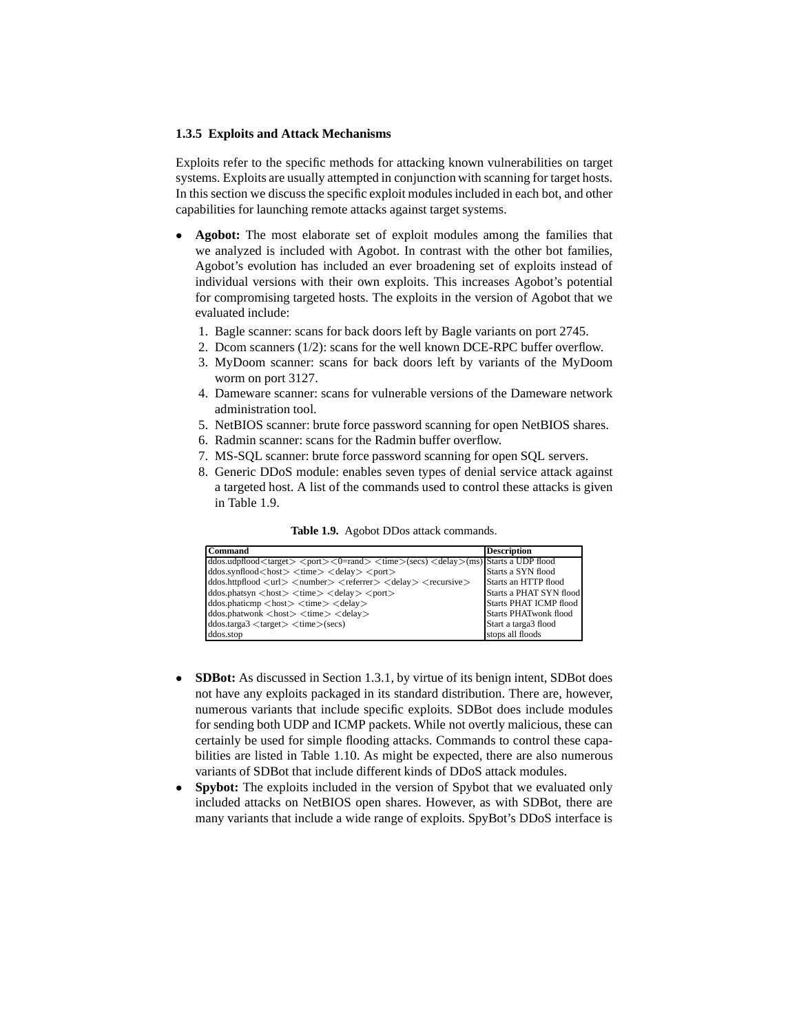#### **1.3.5 Exploits and Attack Mechanisms**

Exploits refer to the specific methods for attacking known vulnerabilities on target systems. Exploits are usually attempted in conjunction with scanning for target hosts. In this section we discuss the specific exploit modules included in each bot, and other capabilities for launching remote attacks against target systems.

- **Agobot:** The most elaborate set of exploit modules among the families that we analyzed is included with Agobot. In contrast with the other bot families, Agobot's evolution has included an ever broadening set of exploits instead of individual versions with their own exploits. This increases Agobot's potential for compromising targeted hosts. The exploits in the version of Agobot that we evaluated include:
	- 1. Bagle scanner: scans for back doors left by Bagle variants on port 2745.
	- 2. Dcom scanners (1/2): scans for the well known DCE-RPC buffer overflow.
	- 3. MyDoom scanner: scans for back doors left by variants of the MyDoom worm on port 3127.
	- 4. Dameware scanner: scans for vulnerable versions of the Dameware network administration tool.
	- 5. NetBIOS scanner: brute force password scanning for open NetBIOS shares.
	- 6. Radmin scanner: scans for the Radmin buffer overflow.
	- 7. MS-SQL scanner: brute force password scanning for open SQL servers.
	- 8. Generic DDoS module: enables seven types of denial service attack against a targeted host. A list of the commands used to control these attacks is given in Table 1.9.

| <b>Command</b>                                                                                                                                                                                                                                                          | <b>Description</b>            |
|-------------------------------------------------------------------------------------------------------------------------------------------------------------------------------------------------------------------------------------------------------------------------|-------------------------------|
| ddos.udpflood <target> <port>&lt;0=rand&gt; <time>(secs)<delay>(ms) Starts a UDP flood</delay></time></port></target>                                                                                                                                                   |                               |
| $ddos.synflood <$ host $>$ $<$ time $>$ $<$ delay $>$ $<$ port $>$                                                                                                                                                                                                      | Starts a SYN flood            |
| $ddos.html$ $\geq$ $\leq$ $\leq$ $\geq$ $\leq$ $\leq$ $\leq$ $\leq$ $\leq$ $\leq$ $\leq$ $\leq$ $\leq$ $\leq$ $\leq$ $\leq$ $\leq$ $\leq$ $\leq$ $\leq$ $\leq$ $\leq$ $\leq$ $\leq$ $\leq$ $\leq$ $\leq$ $\leq$ $\leq$ $\leq$ $\leq$ $\leq$ $\leq$ $\leq$ $\leq$ $\leq$ | Starts an HTTP flood          |
| $ddos.phatsyn <$ host $>$ $<$ time $>$ $<$ delay $>$ $<$ port $>$                                                                                                                                                                                                       | Starts a PHAT SYN flood       |
| $ddos.$ phaticmp $\langle host \rangle \langle time \rangle \langle delay \rangle$                                                                                                                                                                                      | <b>Starts PHAT ICMP flood</b> |
| $ddos.phatwork <$ host $>$ $<$ time $>$ $<$ delay $>$                                                                                                                                                                                                                   | <b>Starts PHATwonk flood</b>  |
| ddos.targa3 < target> < time>(secs)                                                                                                                                                                                                                                     | Start a targa3 flood          |
| ddos.stop                                                                                                                                                                                                                                                               | stops all floods              |

**Table 1.9.** Agobot DDos attack commands.

- **SDBot:** As discussed in Section 1.3.1, by virtue of its benign intent, SDBot does not have any exploits packaged in its standard distribution. There are, however, numerous variants that include specific exploits. SDBot does include modules for sending both UDP and ICMP packets. While not overtly malicious, these can certainly be used for simple flooding attacks. Commands to control these capabilities are listed in Table 1.10. As might be expected, there are also numerous variants of SDBot that include different kinds of DDoS attack modules.
- **Spybot:** The exploits included in the version of Spybot that we evaluated only included attacks on NetBIOS open shares. However, as with SDBot, there are many variants that include a wide range of exploits. SpyBot's DDoS interface is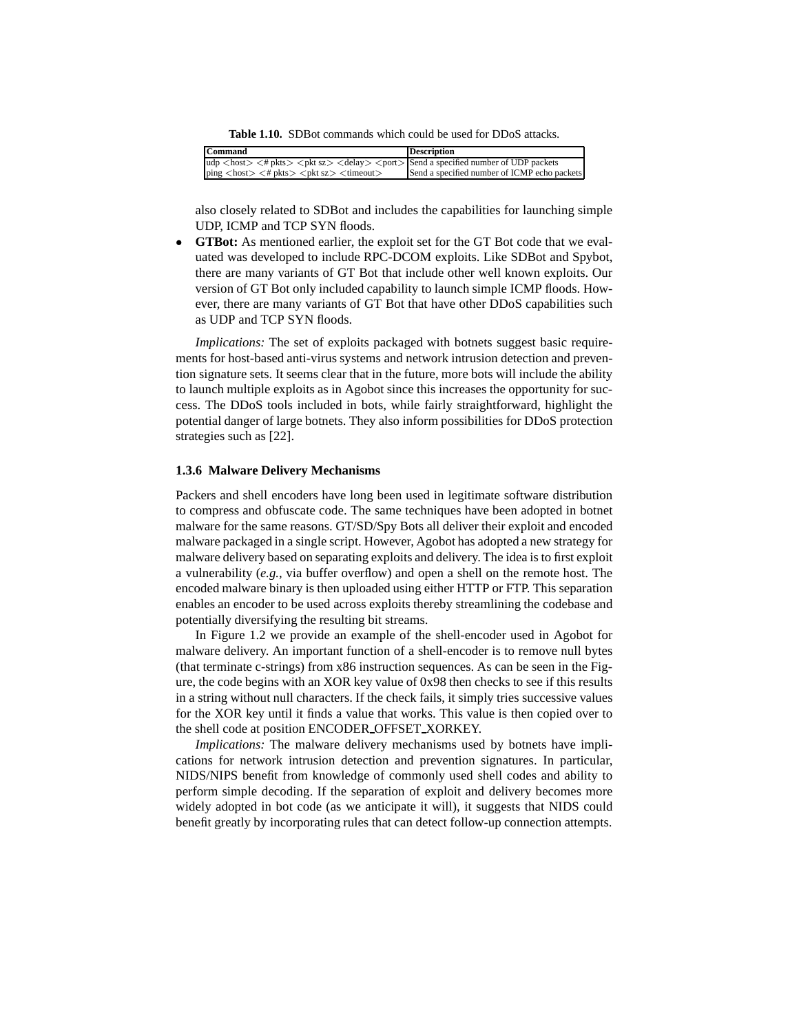**Table 1.10.** SDBot commands which could be used for DDoS attacks.

| <b>Command</b>                                                                                                                                                                        | <b>Description</b>                           |
|---------------------------------------------------------------------------------------------------------------------------------------------------------------------------------------|----------------------------------------------|
| $\alpha$ udp $\langle$ host $\rangle$ $\langle$ # pkts $\rangle$ $\langle$ pkt sz $\rangle$ $\langle$ delay $\rangle$ $\langle$ port $\rangle$ Send a specified number of UDP packets |                                              |
| $\text{ping}$ < host > <# pkts > < pkt sz > < timeout >                                                                                                                               | Send a specified number of ICMP echo packets |

also closely related to SDBot and includes the capabilities for launching simple UDP, ICMP and TCP SYN floods.

• **GTBot:** As mentioned earlier, the exploit set for the GT Bot code that we evaluated was developed to include RPC-DCOM exploits. Like SDBot and Spybot, there are many variants of GT Bot that include other well known exploits. Our version of GT Bot only included capability to launch simple ICMP floods. However, there are many variants of GT Bot that have other DDoS capabilities such as UDP and TCP SYN floods.

*Implications:* The set of exploits packaged with botnets suggest basic requirements for host-based anti-virus systems and network intrusion detection and prevention signature sets. It seems clear that in the future, more bots will include the ability to launch multiple exploits as in Agobot since this increases the opportunity for success. The DDoS tools included in bots, while fairly straightforward, highlight the potential danger of large botnets. They also inform possibilities for DDoS protection strategies such as [22].

#### **1.3.6 Malware Delivery Mechanisms**

Packers and shell encoders have long been used in legitimate software distribution to compress and obfuscate code. The same techniques have been adopted in botnet malware for the same reasons. GT/SD/Spy Bots all deliver their exploit and encoded malware packaged in a single script. However, Agobot has adopted a new strategy for malware delivery based on separating exploits and delivery. The idea is to first exploit a vulnerability (*e.g.,* via buffer overflow) and open a shell on the remote host. The encoded malware binary is then uploaded using either HTTP or FTP. This separation enables an encoder to be used across exploits thereby streamlining the codebase and potentially diversifying the resulting bit streams.

In Figure 1.2 we provide an example of the shell-encoder used in Agobot for malware delivery. An important function of a shell-encoder is to remove null bytes (that terminate c-strings) from x86 instruction sequences. As can be seen in the Figure, the code begins with an XOR key value of 0x98 then checks to see if this results in a string without null characters. If the check fails, it simply tries successive values for the XOR key until it finds a value that works. This value is then copied over to the shell code at position ENCODER OFFSET XORKEY.

*Implications:* The malware delivery mechanisms used by botnets have implications for network intrusion detection and prevention signatures. In particular, NIDS/NIPS benefit from knowledge of commonly used shell codes and ability to perform simple decoding. If the separation of exploit and delivery becomes more widely adopted in bot code (as we anticipate it will), it suggests that NIDS could benefit greatly by incorporating rules that can detect follow-up connection attempts.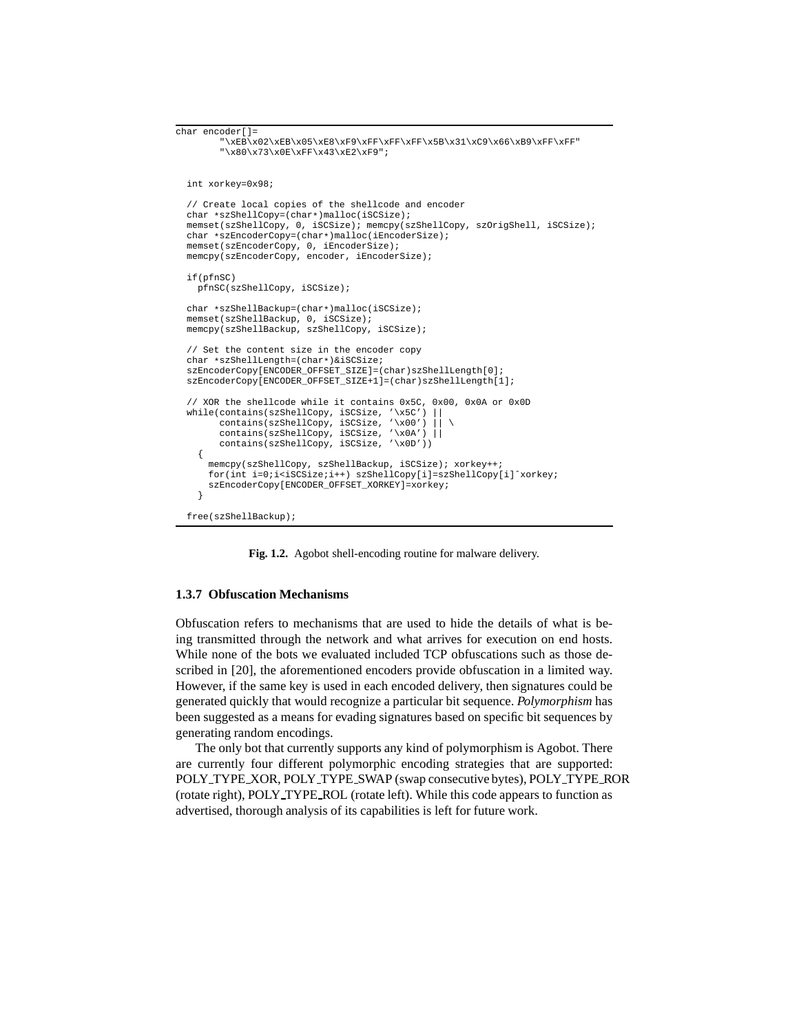```
char encoder[]=
         \xEB\x02\xEB\x05\xE8\xF9\xFF\xFF\xFF\x5B\x31\xC9\x66\xB9\xFF\xFF"
        "\x80\x73\x0E\xFF\x43\xE2\xF9";
  int xorkey=0x98;
  // Create local copies of the shellcode and encoder
  char *szShellCopy=(char*)malloc(iSCSize);
  memset(szShellCopy, 0, iSCSize); memcpy(szShellCopy, szOrigShell, iSCSize);
  char *szEncoderCopy=(char*)malloc(iEncoderSize);
  memset(szEncoderCopy, 0, iEncoderSize);
 memcpy(szEncoderCopy, encoder, iEncoderSize);
  if(pfnSC)
   pfnSC(szShellCopy, iSCSize);
  char *szShellBackup=(char*)malloc(iSCSize);
  memset(szShellBackup, 0, iSCSize);
  memcpy(szShellBackup, szShellCopy, iSCSize);
  // Set the content size in the encoder copy
  char *szShellLength=(char*)&iSCSize;
  szEncoderCopy[ENCODER_OFFSET_SIZE]=(char)szShellLength[0];
  szEncoderCopy[ENCODER_OFFSET_SIZE+1]=(char)szShellLength[1];
  // XOR the shellcode while it contains 0x5C, 0x00, 0x0A or 0x0D
  while(contains(szShellCopy, iSCSize, '\x5C') ||
        contains(szShellCopy, iSCSize, '\x00')
        contains(szShellCopy, iSCSize, '\x0A') ||
contains(szShellCopy, iSCSize, '\x0D'))
    {
      memcpy(szShellCopy, szShellBackup, iSCSize); xorkey++;
      for(int i=0;i<iSCSize;i++) szShellCopy[i]=szShellCopy[i]^xorkey;
      szEncoderCopy[ENCODER_OFFSET_XORKEY]=xorkey;
    }
  free(szShellBackup);
```
**Fig. 1.2.** Agobot shell-encoding routine for malware delivery.

### **1.3.7 Obfuscation Mechanisms**

Obfuscation refers to mechanisms that are used to hide the details of what is being transmitted through the network and what arrives for execution on end hosts. While none of the bots we evaluated included TCP obfuscations such as those described in [20], the aforementioned encoders provide obfuscation in a limited way. However, if the same key is used in each encoded delivery, then signatures could be generated quickly that would recognize a particular bit sequence. *Polymorphism* has been suggested as a means for evading signatures based on specific bit sequences by generating random encodings.

The only bot that currently supports any kind of polymorphism is Agobot. There are currently four different polymorphic encoding strategies that are supported: POLY TYPE XOR, POLY TYPE SWAP (swap consecutive bytes), POLY TYPE ROR (rotate right), POLY TYPE ROL (rotate left). While this code appears to function as advertised, thorough analysis of its capabilities is left for future work.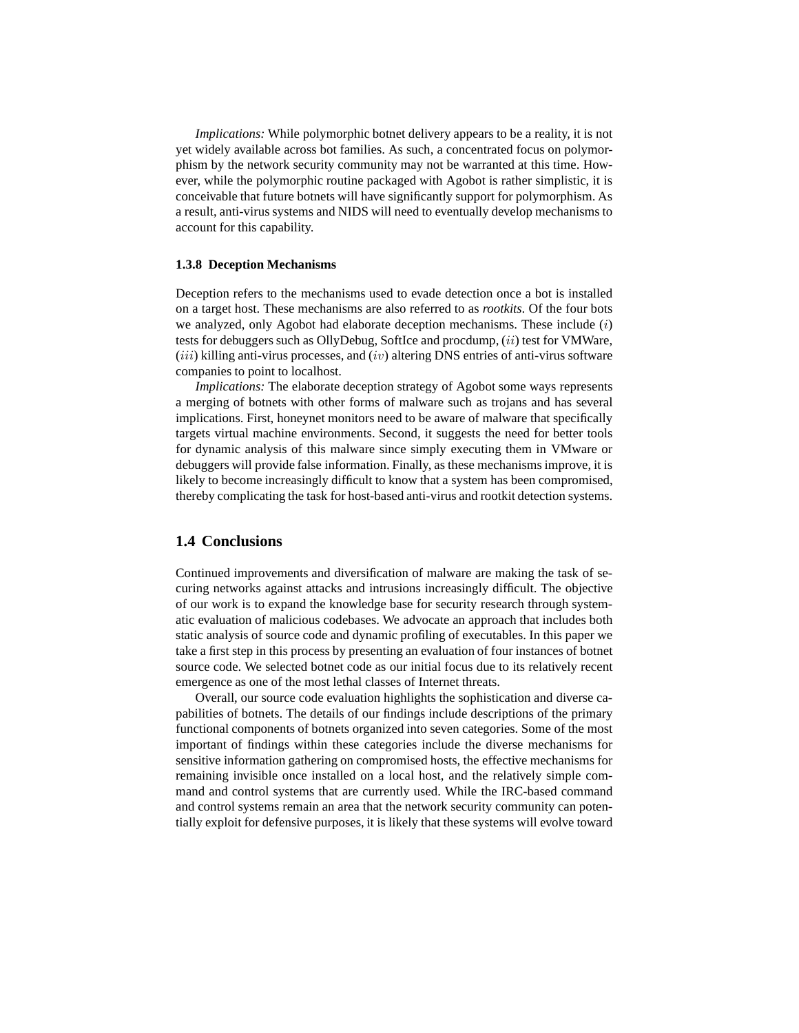*Implications:* While polymorphic botnet delivery appears to be a reality, it is not yet widely available across bot families. As such, a concentrated focus on polymorphism by the network security community may not be warranted at this time. However, while the polymorphic routine packaged with Agobot is rather simplistic, it is conceivable that future botnets will have significantly support for polymorphism. As a result, anti-virus systems and NIDS will need to eventually develop mechanisms to account for this capability.

### **1.3.8 Deception Mechanisms**

Deception refers to the mechanisms used to evade detection once a bot is installed on a target host. These mechanisms are also referred to as *rootkits*. Of the four bots we analyzed, only Agobot had elaborate deception mechanisms. These include  $(i)$ tests for debuggers such as OllyDebug, SoftIce and procdump,  $(ii)$  test for VMWare,  $(iii)$  killing anti-virus processes, and  $(iv)$  altering DNS entries of anti-virus software companies to point to localhost.

*Implications:* The elaborate deception strategy of Agobot some ways represents a merging of botnets with other forms of malware such as trojans and has several implications. First, honeynet monitors need to be aware of malware that specifically targets virtual machine environments. Second, it suggests the need for better tools for dynamic analysis of this malware since simply executing them in VMware or debuggers will provide false information. Finally, as these mechanisms improve, it is likely to become increasingly difficult to know that a system has been compromised, thereby complicating the task for host-based anti-virus and rootkit detection systems.

## **1.4 Conclusions**

Continued improvements and diversification of malware are making the task of securing networks against attacks and intrusions increasingly difficult. The objective of our work is to expand the knowledge base for security research through systematic evaluation of malicious codebases. We advocate an approach that includes both static analysis of source code and dynamic profiling of executables. In this paper we take a first step in this process by presenting an evaluation of four instances of botnet source code. We selected botnet code as our initial focus due to its relatively recent emergence as one of the most lethal classes of Internet threats.

Overall, our source code evaluation highlights the sophistication and diverse capabilities of botnets. The details of our findings include descriptions of the primary functional components of botnets organized into seven categories. Some of the most important of findings within these categories include the diverse mechanisms for sensitive information gathering on compromised hosts, the effective mechanisms for remaining invisible once installed on a local host, and the relatively simple command and control systems that are currently used. While the IRC-based command and control systems remain an area that the network security community can potentially exploit for defensive purposes, it is likely that these systems will evolve toward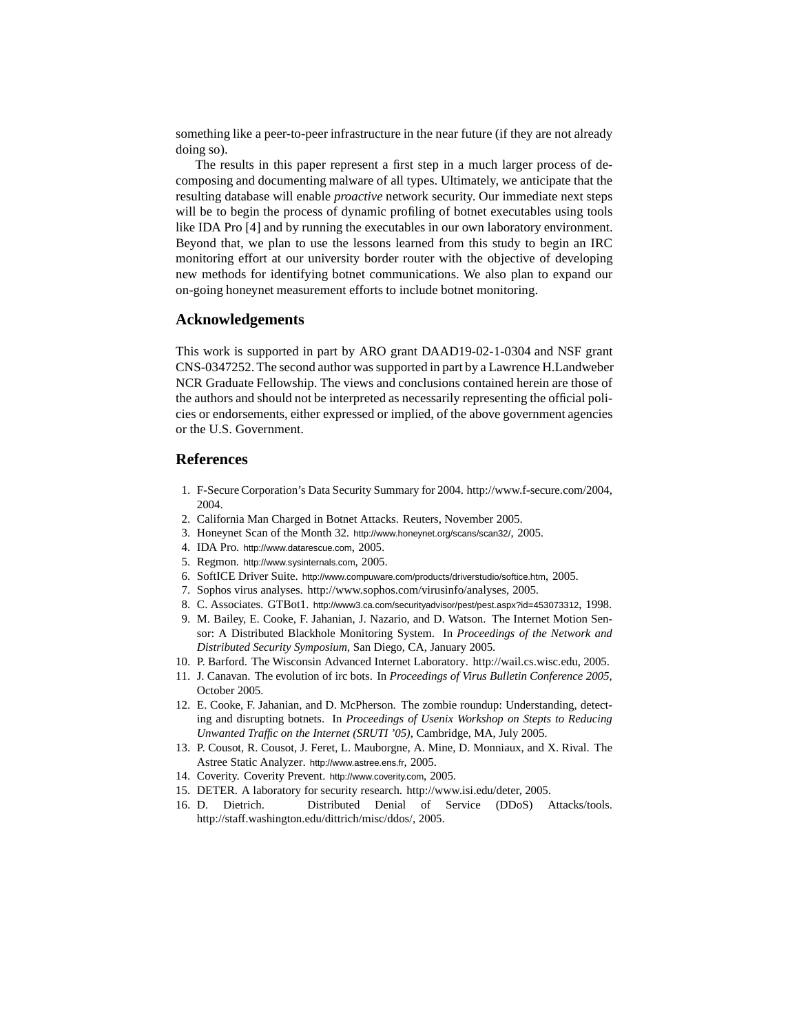something like a peer-to-peer infrastructure in the near future (if they are not already doing so).

The results in this paper represent a first step in a much larger process of decomposing and documenting malware of all types. Ultimately, we anticipate that the resulting database will enable *proactive* network security. Our immediate next steps will be to begin the process of dynamic profiling of botnet executables using tools like IDA Pro [4] and by running the executables in our own laboratory environment. Beyond that, we plan to use the lessons learned from this study to begin an IRC monitoring effort at our university border router with the objective of developing new methods for identifying botnet communications. We also plan to expand our on-going honeynet measurement efforts to include botnet monitoring.

# **Acknowledgements**

This work is supported in part by ARO grant DAAD19-02-1-0304 and NSF grant CNS-0347252. The second author was supported in part by a Lawrence H.Landweber NCR Graduate Fellowship. The views and conclusions contained herein are those of the authors and should not be interpreted as necessarily representing the official policies or endorsements, either expressed or implied, of the above government agencies or the U.S. Government.

# **References**

- 1. F-Secure Corporation's Data Security Summary for 2004. http://www.f-secure.com/2004, 2004.
- 2. California Man Charged in Botnet Attacks. Reuters, November 2005.
- 3. Honeynet Scan of the Month 32. http://www.honeynet.org/scans/scan32/, 2005.
- 4. IDA Pro. http://www.datarescue.com, 2005.
- 5. Regmon. http://www.sysinternals.com, 2005.
- 6. SoftICE Driver Suite. http://www.compuware.com/products/driverstudio/softice.htm, 2005.
- 7. Sophos virus analyses. http://www.sophos.com/virusinfo/analyses, 2005.
- 8. C. Associates. GTBot1. http://www3.ca.com/securityadvisor/pest/pest.aspx?id=453073312, 1998.
- 9. M. Bailey, E. Cooke, F. Jahanian, J. Nazario, and D. Watson. The Internet Motion Sensor: A Distributed Blackhole Monitoring System. In *Proceedings of the Network and Distributed Security Symposium*, San Diego, CA, January 2005.
- 10. P. Barford. The Wisconsin Advanced Internet Laboratory. http://wail.cs.wisc.edu, 2005.
- 11. J. Canavan. The evolution of irc bots. In *Proceedings of Virus Bulletin Conference 2005*, October 2005.
- 12. E. Cooke, F. Jahanian, and D. McPherson. The zombie roundup: Understanding, detecting and disrupting botnets. In *Proceedings of Usenix Workshop on Stepts to Reducing Unwanted Traffic on the Internet (SRUTI '05)*, Cambridge, MA, July 2005.
- 13. P. Cousot, R. Cousot, J. Feret, L. Mauborgne, A. Mine, D. Monniaux, and X. Rival. The Astree Static Analyzer. http://www.astree.ens.fr, 2005.
- 14. Coverity. Coverity Prevent. http://www.coverity.com, 2005.
- 15. DETER. A laboratory for security research. http://www.isi.edu/deter, 2005.
- 16. D. Dietrich. Distributed Denial of Service (DDoS) Attacks/tools. http://staff.washington.edu/dittrich/misc/ddos/, 2005.